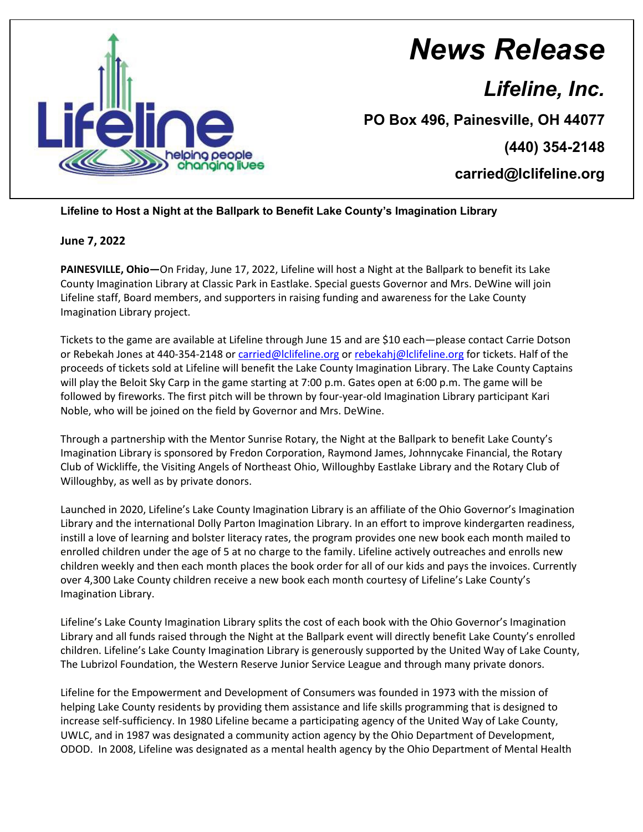

## *News Release*

*Lifeline, Inc.*

**PO Box 496, Painesville, OH 44077**

**(440) 354-2148**

**carried@lclifeline.org**

## **Lifeline to Host a Night at the Ballpark to Benefit Lake County's Imagination Library**

## **June 7, 2022**

**PAINESVILLE, Ohio—**On Friday, June 17, 2022, Lifeline will host a Night at the Ballpark to benefit its Lake County Imagination Library at Classic Park in Eastlake. Special guests Governor and Mrs. DeWine will join Lifeline staff, Board members, and supporters in raising funding and awareness for the Lake County Imagination Library project.

Tickets to the game are available at Lifeline through June 15 and are \$10 each—please contact Carrie Dotson or Rebekah Jones at 440-354-2148 or [carried@lclifeline.org](mailto:carried@lclifeline.org) o[r rebekahj@lclifeline.org](mailto:rebekahj@lclifeline.org) for tickets. Half of the proceeds of tickets sold at Lifeline will benefit the Lake County Imagination Library. The Lake County Captains will play the Beloit Sky Carp in the game starting at 7:00 p.m. Gates open at 6:00 p.m. The game will be followed by fireworks. The first pitch will be thrown by four-year-old Imagination Library participant Kari Noble, who will be joined on the field by Governor and Mrs. DeWine.

Through a partnership with the Mentor Sunrise Rotary, the Night at the Ballpark to benefit Lake County's Imagination Library is sponsored by Fredon Corporation, Raymond James, Johnnycake Financial, the Rotary Club of Wickliffe, the Visiting Angels of Northeast Ohio, Willoughby Eastlake Library and the Rotary Club of Willoughby, as well as by private donors.

Launched in 2020, Lifeline's Lake County Imagination Library is an affiliate of the Ohio Governor's Imagination Library and the international Dolly Parton Imagination Library. In an effort to improve kindergarten readiness, instill a love of learning and bolster literacy rates, the program provides one new book each month mailed to enrolled children under the age of 5 at no charge to the family. Lifeline actively outreaches and enrolls new children weekly and then each month places the book order for all of our kids and pays the invoices. Currently over 4,300 Lake County children receive a new book each month courtesy of Lifeline's Lake County's Imagination Library.

Lifeline's Lake County Imagination Library splits the cost of each book with the Ohio Governor's Imagination Library and all funds raised through the Night at the Ballpark event will directly benefit Lake County's enrolled children. Lifeline's Lake County Imagination Library is generously supported by the United Way of Lake County, The Lubrizol Foundation, the Western Reserve Junior Service League and through many private donors.

Lifeline for the Empowerment and Development of Consumers was founded in 1973 with the mission of helping Lake County residents by providing them assistance and life skills programming that is designed to increase self-sufficiency. In 1980 Lifeline became a participating agency of the United Way of Lake County, UWLC, and in 1987 was designated a community action agency by the Ohio Department of Development, ODOD. In 2008, Lifeline was designated as a mental health agency by the Ohio Department of Mental Health